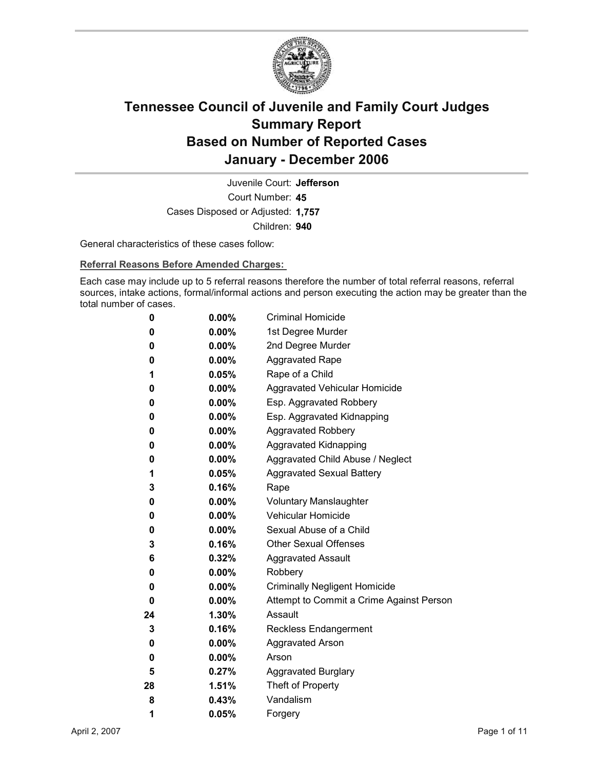

Court Number: **45** Juvenile Court: **Jefferson** Cases Disposed or Adjusted: **1,757** Children: **940**

General characteristics of these cases follow:

**Referral Reasons Before Amended Charges:** 

Each case may include up to 5 referral reasons therefore the number of total referral reasons, referral sources, intake actions, formal/informal actions and person executing the action may be greater than the total number of cases.

| 0  | $0.00\%$ | <b>Criminal Homicide</b>                 |  |
|----|----------|------------------------------------------|--|
| 0  | $0.00\%$ | 1st Degree Murder                        |  |
| 0  | $0.00\%$ | 2nd Degree Murder                        |  |
| 0  | $0.00\%$ | <b>Aggravated Rape</b>                   |  |
| 1  | $0.05\%$ | Rape of a Child                          |  |
| 0  | $0.00\%$ | Aggravated Vehicular Homicide            |  |
| 0  | $0.00\%$ | Esp. Aggravated Robbery                  |  |
| 0  | $0.00\%$ | Esp. Aggravated Kidnapping               |  |
| 0  | $0.00\%$ | <b>Aggravated Robbery</b>                |  |
| 0  | $0.00\%$ | <b>Aggravated Kidnapping</b>             |  |
| 0  | $0.00\%$ | Aggravated Child Abuse / Neglect         |  |
| 1  | $0.05\%$ | <b>Aggravated Sexual Battery</b>         |  |
| 3  | $0.16\%$ | Rape                                     |  |
| 0  | $0.00\%$ | <b>Voluntary Manslaughter</b>            |  |
| 0  | $0.00\%$ | <b>Vehicular Homicide</b>                |  |
| 0  | $0.00\%$ | Sexual Abuse of a Child                  |  |
| 3  | $0.16\%$ | <b>Other Sexual Offenses</b>             |  |
| 6  | $0.32\%$ | <b>Aggravated Assault</b>                |  |
| 0  | $0.00\%$ | Robbery                                  |  |
| 0  | $0.00\%$ | <b>Criminally Negligent Homicide</b>     |  |
| 0  | $0.00\%$ | Attempt to Commit a Crime Against Person |  |
| 24 | $1.30\%$ | Assault                                  |  |
| 3  | 0.16%    | <b>Reckless Endangerment</b>             |  |
| 0  | $0.00\%$ | <b>Aggravated Arson</b>                  |  |
| 0  | $0.00\%$ | Arson                                    |  |
| 5  | 0.27%    | <b>Aggravated Burglary</b>               |  |
| 28 | 1.51%    | Theft of Property                        |  |
| 8  | $0.43\%$ | Vandalism                                |  |
| 1  | 0.05%    | Forgery                                  |  |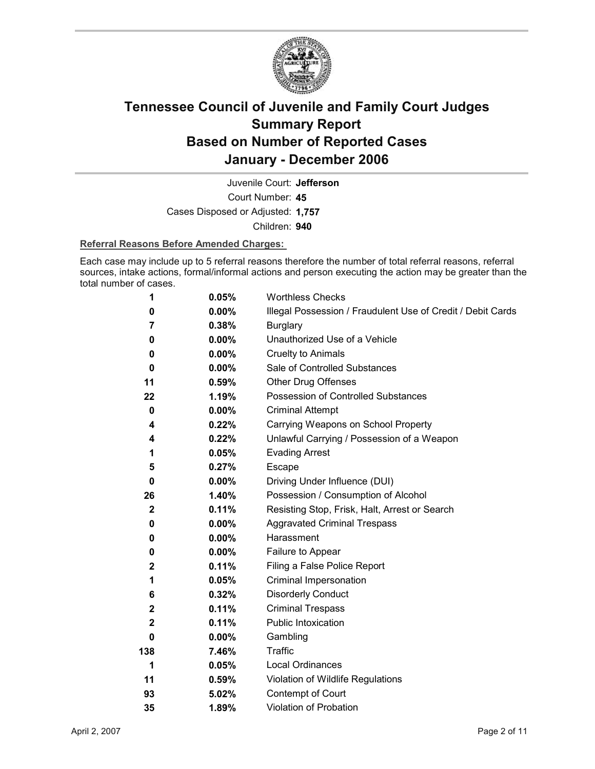

Juvenile Court: **Jefferson**

Court Number: **45**

Cases Disposed or Adjusted: **1,757**

Children: **940**

### **Referral Reasons Before Amended Charges:**

Each case may include up to 5 referral reasons therefore the number of total referral reasons, referral sources, intake actions, formal/informal actions and person executing the action may be greater than the total number of cases.

| 1            | 0.05%    | <b>Worthless Checks</b>                                     |
|--------------|----------|-------------------------------------------------------------|
| 0            | 0.00%    | Illegal Possession / Fraudulent Use of Credit / Debit Cards |
| 7            | 0.38%    | <b>Burglary</b>                                             |
| 0            | $0.00\%$ | Unauthorized Use of a Vehicle                               |
| 0            | $0.00\%$ | <b>Cruelty to Animals</b>                                   |
| 0            | $0.00\%$ | Sale of Controlled Substances                               |
| 11           | 0.59%    | <b>Other Drug Offenses</b>                                  |
| 22           | 1.19%    | Possession of Controlled Substances                         |
| 0            | $0.00\%$ | <b>Criminal Attempt</b>                                     |
| 4            | 0.22%    | Carrying Weapons on School Property                         |
| 4            | 0.22%    | Unlawful Carrying / Possession of a Weapon                  |
| 1            | 0.05%    | <b>Evading Arrest</b>                                       |
| 5            | 0.27%    | Escape                                                      |
| $\bf{0}$     | $0.00\%$ | Driving Under Influence (DUI)                               |
| 26           | 1.40%    | Possession / Consumption of Alcohol                         |
| $\mathbf{2}$ | 0.11%    | Resisting Stop, Frisk, Halt, Arrest or Search               |
| 0            | $0.00\%$ | <b>Aggravated Criminal Trespass</b>                         |
| 0            | $0.00\%$ | Harassment                                                  |
| 0            | $0.00\%$ | Failure to Appear                                           |
| $\mathbf 2$  | 0.11%    | Filing a False Police Report                                |
| 1            | 0.05%    | Criminal Impersonation                                      |
| 6            | 0.32%    | <b>Disorderly Conduct</b>                                   |
| $\mathbf{2}$ | 0.11%    | <b>Criminal Trespass</b>                                    |
| $\mathbf{2}$ | 0.11%    | Public Intoxication                                         |
| 0            | $0.00\%$ | Gambling                                                    |
| 138          | 7.46%    | <b>Traffic</b>                                              |
| 1            | 0.05%    | <b>Local Ordinances</b>                                     |
| 11           | 0.59%    | Violation of Wildlife Regulations                           |
| 93           | 5.02%    | Contempt of Court                                           |
| 35           | 1.89%    | <b>Violation of Probation</b>                               |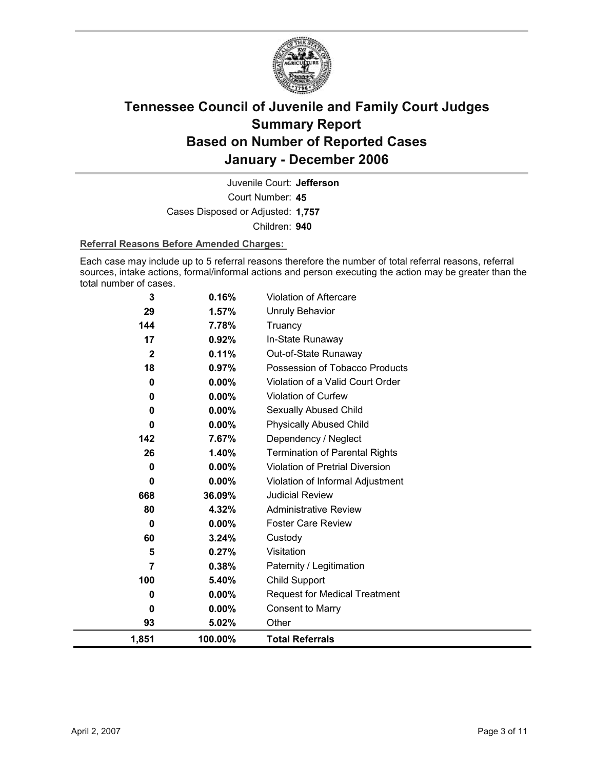

Court Number: **45** Juvenile Court: **Jefferson** Cases Disposed or Adjusted: **1,757** Children: **940**

### **Referral Reasons Before Amended Charges:**

Each case may include up to 5 referral reasons therefore the number of total referral reasons, referral sources, intake actions, formal/informal actions and person executing the action may be greater than the total number of cases.

| 3            | 0.16%    | Violation of Aftercare                |
|--------------|----------|---------------------------------------|
| 29           | 1.57%    | <b>Unruly Behavior</b>                |
| 144          | 7.78%    | Truancy                               |
| 17           | 0.92%    | In-State Runaway                      |
| $\mathbf{2}$ | 0.11%    | Out-of-State Runaway                  |
| 18           | $0.97\%$ | Possession of Tobacco Products        |
| 0            | $0.00\%$ | Violation of a Valid Court Order      |
| 0            | 0.00%    | Violation of Curfew                   |
| 0            | 0.00%    | Sexually Abused Child                 |
| 0            | $0.00\%$ | <b>Physically Abused Child</b>        |
| 142          | 7.67%    | Dependency / Neglect                  |
| 26           | 1.40%    | <b>Termination of Parental Rights</b> |
| 0            | 0.00%    | Violation of Pretrial Diversion       |
| 0            | 0.00%    | Violation of Informal Adjustment      |
| 668          | 36.09%   | <b>Judicial Review</b>                |
| 80           | 4.32%    | <b>Administrative Review</b>          |
| $\bf{0}$     | $0.00\%$ | <b>Foster Care Review</b>             |
| 60           | 3.24%    | Custody                               |
| 5            | 0.27%    | Visitation                            |
| 7            | 0.38%    | Paternity / Legitimation              |
| 100          | 5.40%    | Child Support                         |
| 0            | $0.00\%$ | <b>Request for Medical Treatment</b>  |
| 0            | $0.00\%$ | <b>Consent to Marry</b>               |
| 93           | 5.02%    | Other                                 |
| 1,851        | 100.00%  | <b>Total Referrals</b>                |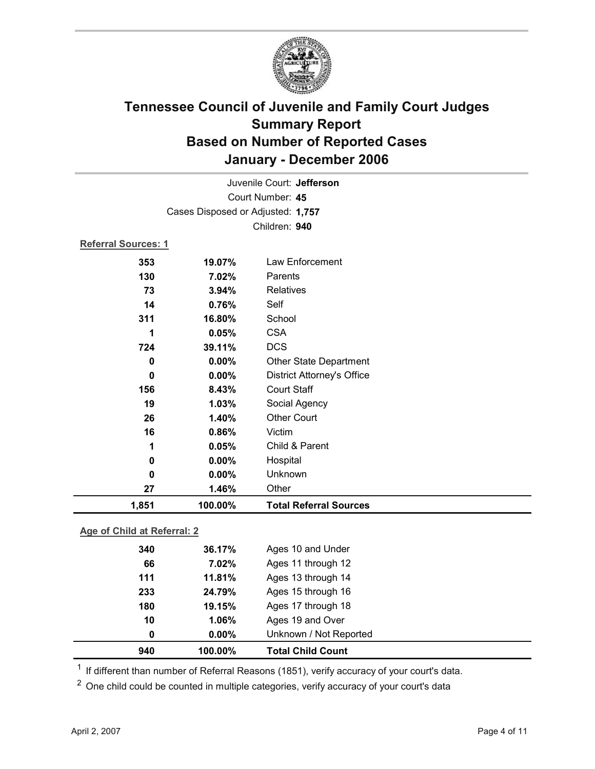

| 1,851                      | 100.00%                           | <b>Total Referral Sources</b>     |  |  |  |  |
|----------------------------|-----------------------------------|-----------------------------------|--|--|--|--|
| 27                         | 1.46%                             | Other                             |  |  |  |  |
| 0                          | 0.00%                             | Unknown                           |  |  |  |  |
| 0                          | 0.00%                             | Hospital                          |  |  |  |  |
| 1                          | 0.05%                             | Child & Parent                    |  |  |  |  |
| 16                         | 0.86%                             | Victim                            |  |  |  |  |
| 26                         | 1.40%                             | <b>Other Court</b>                |  |  |  |  |
| 19                         | 1.03%                             | Social Agency                     |  |  |  |  |
| 156                        | 8.43%                             | <b>Court Staff</b>                |  |  |  |  |
| $\bf{0}$                   | 0.00%                             | <b>District Attorney's Office</b> |  |  |  |  |
| 0                          | $0.00\%$                          | <b>Other State Department</b>     |  |  |  |  |
| 724                        | 39.11%                            | <b>DCS</b>                        |  |  |  |  |
| 1                          | 0.05%                             | <b>CSA</b>                        |  |  |  |  |
| 311                        | 16.80%                            | School                            |  |  |  |  |
| 14                         | 0.76%                             | Self                              |  |  |  |  |
| 73                         | 3.94%                             | <b>Relatives</b>                  |  |  |  |  |
| 130                        | 7.02%                             | Parents                           |  |  |  |  |
| 353                        | 19.07%                            | Law Enforcement                   |  |  |  |  |
| <b>Referral Sources: 1</b> |                                   |                                   |  |  |  |  |
|                            |                                   | Children: 940                     |  |  |  |  |
|                            | Cases Disposed or Adjusted: 1,757 |                                   |  |  |  |  |
|                            |                                   |                                   |  |  |  |  |
| Court Number: 45           |                                   |                                   |  |  |  |  |
| Juvenile Court: Jefferson  |                                   |                                   |  |  |  |  |

### **Age of Child at Referral: 2**

| 233<br>180<br>10<br>0 | 24.79%<br>19.15%<br>1.06%<br>$0.00\%$ | Ages 15 through 16<br>Ages 17 through 18<br>Ages 19 and Over<br>Unknown / Not Reported |
|-----------------------|---------------------------------------|----------------------------------------------------------------------------------------|
|                       |                                       |                                                                                        |
|                       |                                       |                                                                                        |
|                       |                                       |                                                                                        |
|                       |                                       |                                                                                        |
| 111                   | 11.81%                                | Ages 13 through 14                                                                     |
| 66                    | 7.02%                                 | Ages 11 through 12                                                                     |
| 340                   |                                       | Ages 10 and Under                                                                      |
|                       |                                       | 36.17%                                                                                 |

 $1$  If different than number of Referral Reasons (1851), verify accuracy of your court's data.

<sup>2</sup> One child could be counted in multiple categories, verify accuracy of your court's data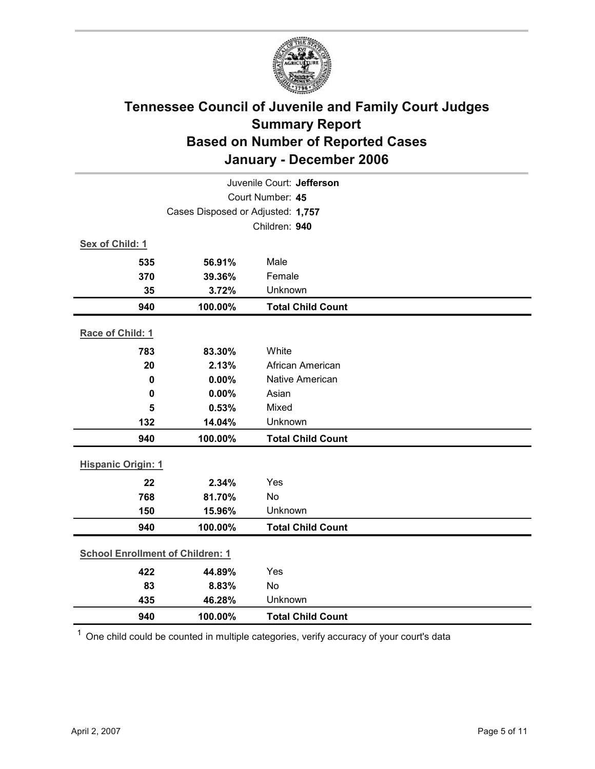

| Juvenile Court: Jefferson               |                                   |                          |  |  |  |
|-----------------------------------------|-----------------------------------|--------------------------|--|--|--|
|                                         | Court Number: 45                  |                          |  |  |  |
|                                         | Cases Disposed or Adjusted: 1,757 |                          |  |  |  |
|                                         |                                   | Children: 940            |  |  |  |
| Sex of Child: 1                         |                                   |                          |  |  |  |
| 535                                     | 56.91%                            | Male                     |  |  |  |
| 370                                     | 39.36%                            | Female                   |  |  |  |
| 35                                      | 3.72%                             | Unknown                  |  |  |  |
| 940                                     | 100.00%                           | <b>Total Child Count</b> |  |  |  |
| Race of Child: 1                        |                                   |                          |  |  |  |
| 783                                     | 83.30%                            | White                    |  |  |  |
| 20                                      | 2.13%                             | African American         |  |  |  |
| $\mathbf 0$                             | 0.00%                             | Native American          |  |  |  |
| $\mathbf 0$                             | 0.00%                             | Asian                    |  |  |  |
| 5                                       | 0.53%                             | Mixed                    |  |  |  |
| 132                                     | 14.04%                            | Unknown                  |  |  |  |
| 940                                     | 100.00%                           | <b>Total Child Count</b> |  |  |  |
| <b>Hispanic Origin: 1</b>               |                                   |                          |  |  |  |
| 22                                      | 2.34%                             | Yes                      |  |  |  |
| 768                                     | 81.70%                            | No                       |  |  |  |
| 150                                     | 15.96%                            | Unknown                  |  |  |  |
| 940                                     | 100.00%                           | <b>Total Child Count</b> |  |  |  |
| <b>School Enrollment of Children: 1</b> |                                   |                          |  |  |  |
| 422                                     | 44.89%                            | Yes                      |  |  |  |
| 83                                      | 8.83%                             | No                       |  |  |  |
| 435                                     | 46.28%                            | Unknown                  |  |  |  |
| 940                                     | 100.00%                           | <b>Total Child Count</b> |  |  |  |

 $1$  One child could be counted in multiple categories, verify accuracy of your court's data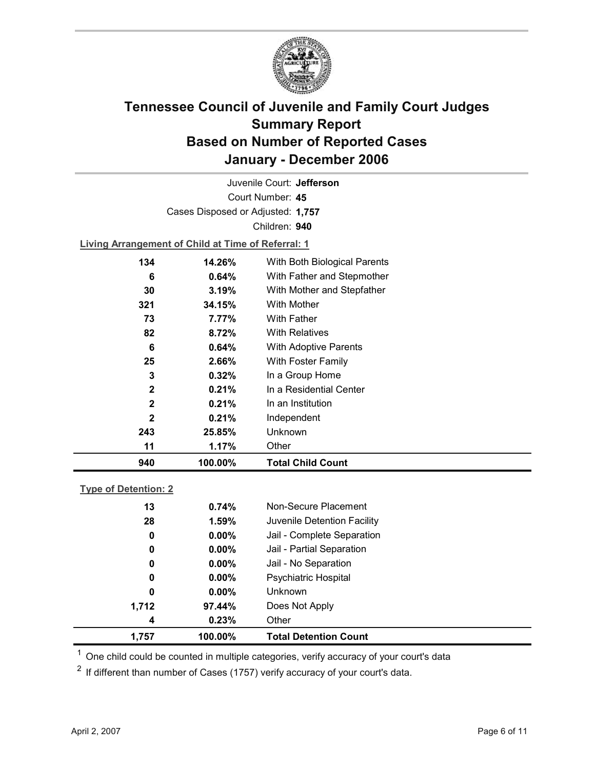

Court Number: **45** Juvenile Court: **Jefferson** Cases Disposed or Adjusted: **1,757** Children: **940**

**Living Arrangement of Child at Time of Referral: 1**

| 73<br>82<br>6<br>25<br>3<br>2<br>$\mathbf{2}$<br>2<br>243<br>11 | 7.77%<br>8.72%<br>$0.64\%$<br>2.66%<br>0.32%<br>0.21%<br>0.21%<br>0.21%<br>25.85%<br>1.17% | With Mother<br>With Father<br><b>With Relatives</b><br><b>With Adoptive Parents</b><br>With Foster Family<br>In a Group Home<br>In a Residential Center<br>In an Institution<br>Independent<br>Unknown<br>Other |
|-----------------------------------------------------------------|--------------------------------------------------------------------------------------------|-----------------------------------------------------------------------------------------------------------------------------------------------------------------------------------------------------------------|
|                                                                 |                                                                                            |                                                                                                                                                                                                                 |
|                                                                 |                                                                                            |                                                                                                                                                                                                                 |
|                                                                 |                                                                                            |                                                                                                                                                                                                                 |
|                                                                 |                                                                                            |                                                                                                                                                                                                                 |
|                                                                 |                                                                                            |                                                                                                                                                                                                                 |
|                                                                 |                                                                                            |                                                                                                                                                                                                                 |
|                                                                 |                                                                                            |                                                                                                                                                                                                                 |
|                                                                 |                                                                                            |                                                                                                                                                                                                                 |
|                                                                 |                                                                                            |                                                                                                                                                                                                                 |
|                                                                 |                                                                                            |                                                                                                                                                                                                                 |
| 321                                                             | 34.15%                                                                                     |                                                                                                                                                                                                                 |
| 30                                                              | 3.19%                                                                                      | With Mother and Stepfather                                                                                                                                                                                      |
| 6                                                               | $0.64\%$                                                                                   | With Father and Stepmother                                                                                                                                                                                      |
| 134                                                             |                                                                                            |                                                                                                                                                                                                                 |
|                                                                 |                                                                                            |                                                                                                                                                                                                                 |

### **Type of Detention: 2**

| 1,757 | 100.00%  | <b>Total Detention Count</b> |
|-------|----------|------------------------------|
| 4     | 0.23%    | Other                        |
| 1,712 | 97.44%   | Does Not Apply               |
| 0     | $0.00\%$ | <b>Unknown</b>               |
| 0     | $0.00\%$ | <b>Psychiatric Hospital</b>  |
| 0     | $0.00\%$ | Jail - No Separation         |
| 0     | $0.00\%$ | Jail - Partial Separation    |
| 0     | $0.00\%$ | Jail - Complete Separation   |
| 28    | 1.59%    | Juvenile Detention Facility  |
| 13    | 0.74%    | Non-Secure Placement         |
|       |          |                              |

 $<sup>1</sup>$  One child could be counted in multiple categories, verify accuracy of your court's data</sup>

 $2$  If different than number of Cases (1757) verify accuracy of your court's data.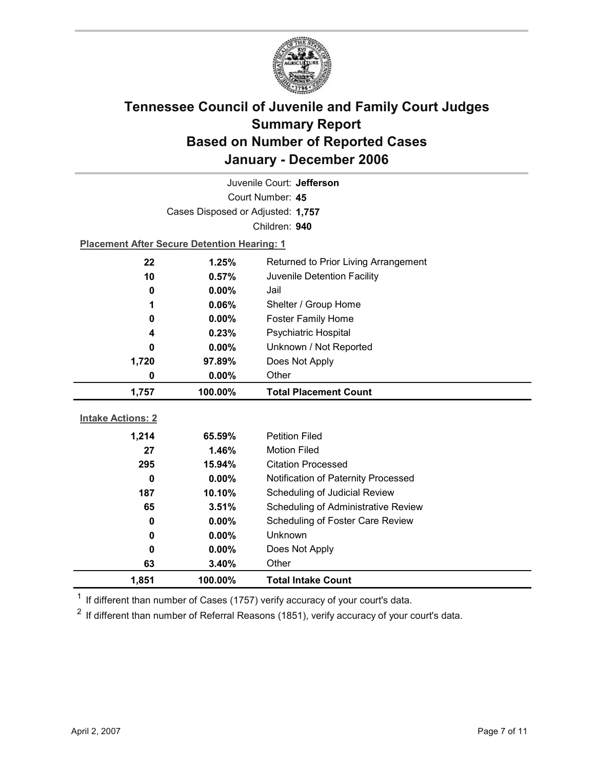

| Juvenile Court: Jefferson                          |                                                    |                                      |  |  |  |  |
|----------------------------------------------------|----------------------------------------------------|--------------------------------------|--|--|--|--|
| Court Number: 45                                   |                                                    |                                      |  |  |  |  |
|                                                    | Cases Disposed or Adjusted: 1,757                  |                                      |  |  |  |  |
|                                                    |                                                    | Children: 940                        |  |  |  |  |
|                                                    | <b>Placement After Secure Detention Hearing: 1</b> |                                      |  |  |  |  |
| 22                                                 | 1.25%                                              | Returned to Prior Living Arrangement |  |  |  |  |
| 10                                                 | 0.57%                                              | Juvenile Detention Facility          |  |  |  |  |
| 0                                                  | $0.00\%$                                           | Jail                                 |  |  |  |  |
| 1                                                  | 0.06%                                              | Shelter / Group Home                 |  |  |  |  |
| 0                                                  | $0.00\%$                                           | <b>Foster Family Home</b>            |  |  |  |  |
| 4                                                  | 0.23%                                              | <b>Psychiatric Hospital</b>          |  |  |  |  |
| 0                                                  | 0.00%                                              | Unknown / Not Reported               |  |  |  |  |
| 1,720                                              | 97.89%                                             | Does Not Apply                       |  |  |  |  |
| 0                                                  | $0.00\%$                                           | Other                                |  |  |  |  |
| 1,757                                              | 100.00%                                            | <b>Total Placement Count</b>         |  |  |  |  |
| <b>Intake Actions: 2</b>                           |                                                    |                                      |  |  |  |  |
| 1,214                                              | 65.59%                                             | <b>Petition Filed</b>                |  |  |  |  |
| 27                                                 | 1.46%                                              | <b>Motion Filed</b>                  |  |  |  |  |
| 295                                                | 15.94%                                             | <b>Citation Processed</b>            |  |  |  |  |
| $\mathbf 0$                                        | 0.00%                                              | Notification of Paternity Processed  |  |  |  |  |
|                                                    |                                                    |                                      |  |  |  |  |
|                                                    | 187<br>10.10%<br>Scheduling of Judicial Review     |                                      |  |  |  |  |
| Scheduling of Administrative Review<br>65<br>3.51% |                                                    |                                      |  |  |  |  |
| Scheduling of Foster Care Review<br>0.00%<br>0     |                                                    |                                      |  |  |  |  |
|                                                    |                                                    |                                      |  |  |  |  |
| 0                                                  | 0.00%                                              | Unknown                              |  |  |  |  |
| 0                                                  | $0.00\%$                                           | Does Not Apply                       |  |  |  |  |
| 63<br>1,851                                        | 3.40%<br>100.00%                                   | Other<br><b>Total Intake Count</b>   |  |  |  |  |

 $1$  If different than number of Cases (1757) verify accuracy of your court's data.

 $2$  If different than number of Referral Reasons (1851), verify accuracy of your court's data.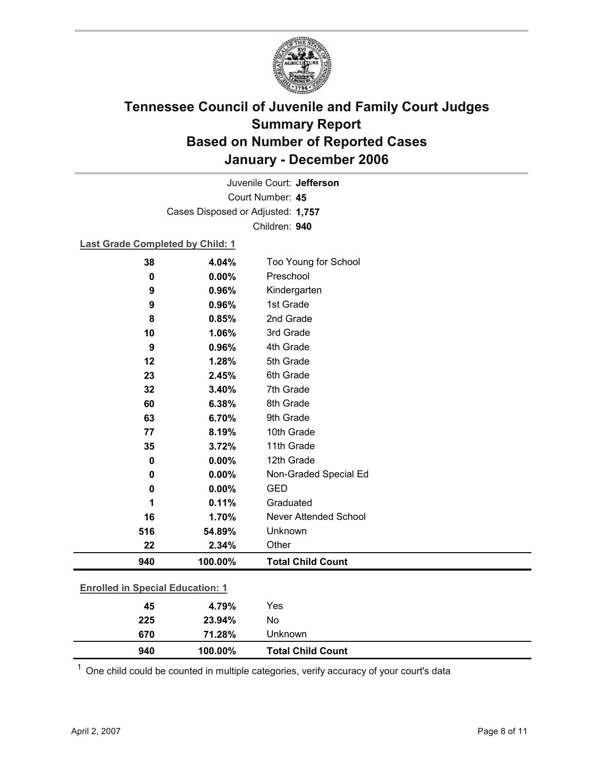

Court Number: **45** Juvenile Court: **Jefferson** Cases Disposed or Adjusted: **1,757** Children: **940**

### **Last Grade Completed by Child: 1**

| 38                                      | 4.04%   | Too Young for School         |
|-----------------------------------------|---------|------------------------------|
| $\bf{0}$                                | 0.00%   | Preschool                    |
| 9                                       | 0.96%   | Kindergarten                 |
| 9                                       | 0.96%   | 1st Grade                    |
| 8                                       | 0.85%   | 2nd Grade                    |
| 10                                      | 1.06%   | 3rd Grade                    |
| 9                                       | 0.96%   | 4th Grade                    |
| 12                                      | 1.28%   | 5th Grade                    |
| 23                                      | 2.45%   | 6th Grade                    |
| 32                                      | 3.40%   | 7th Grade                    |
| 60                                      | 6.38%   | 8th Grade                    |
| 63                                      | 6.70%   | 9th Grade                    |
| 77                                      | 8.19%   | 10th Grade                   |
| 35                                      | 3.72%   | 11th Grade                   |
| 0                                       | 0.00%   | 12th Grade                   |
| 0                                       | 0.00%   | Non-Graded Special Ed        |
| 0                                       | 0.00%   | <b>GED</b>                   |
| 1                                       | 0.11%   | Graduated                    |
| 16                                      | 1.70%   | <b>Never Attended School</b> |
| 516                                     | 54.89%  | Unknown                      |
| 22                                      | 2.34%   | Other                        |
| 940                                     | 100.00% | <b>Total Child Count</b>     |
| <b>Enrolled in Special Education: 1</b> |         |                              |

| 940                           | 100.00% | <b>Total Child Count</b> |  |
|-------------------------------|---------|--------------------------|--|
| 670                           | 71.28%  | Unknown                  |  |
| 225                           | 23.94%  | No                       |  |
| 45                            | 4.79%   | Yes                      |  |
| $LIIUIIUIIUIIUIIUIIUIIUIIUII$ |         |                          |  |

 $1$  One child could be counted in multiple categories, verify accuracy of your court's data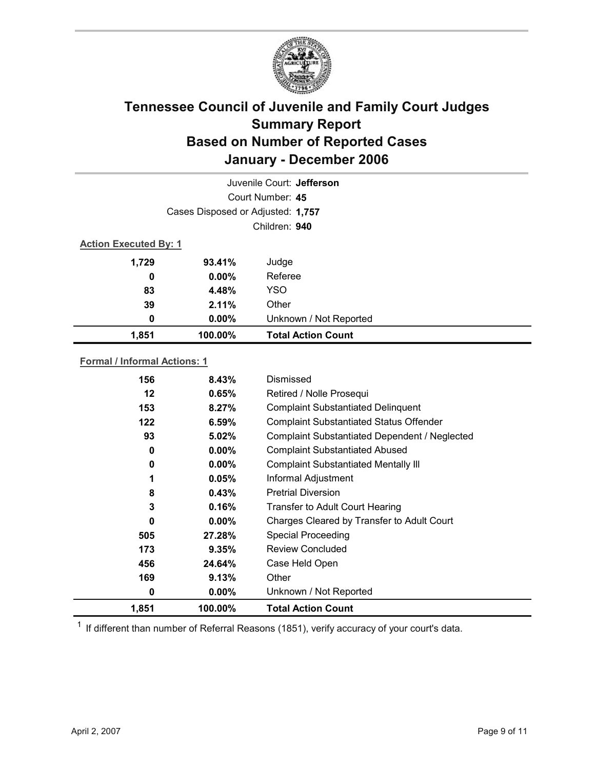

|                              | Juvenile Court: Jefferson         |                           |  |  |  |  |
|------------------------------|-----------------------------------|---------------------------|--|--|--|--|
|                              | Court Number: 45                  |                           |  |  |  |  |
|                              | Cases Disposed or Adjusted: 1,757 |                           |  |  |  |  |
|                              |                                   | Children: 940             |  |  |  |  |
| <b>Action Executed By: 1</b> |                                   |                           |  |  |  |  |
| 1,729                        | 93.41%                            | Judge                     |  |  |  |  |
| 0                            | $0.00\%$                          | Referee                   |  |  |  |  |
| 83                           | 4.48%                             | <b>YSO</b>                |  |  |  |  |
| 39                           | 2.11%                             | Other                     |  |  |  |  |
| 0                            | $0.00\%$                          | Unknown / Not Reported    |  |  |  |  |
| 1,851                        | 100.00%                           | <b>Total Action Count</b> |  |  |  |  |

### **Formal / Informal Actions: 1**

| 156   | 8.43%    | Dismissed                                      |
|-------|----------|------------------------------------------------|
| 12    | 0.65%    | Retired / Nolle Prosequi                       |
| 153   | 8.27%    | <b>Complaint Substantiated Delinquent</b>      |
| 122   | 6.59%    | <b>Complaint Substantiated Status Offender</b> |
| 93    | 5.02%    | Complaint Substantiated Dependent / Neglected  |
| 0     | $0.00\%$ | <b>Complaint Substantiated Abused</b>          |
| 0     | $0.00\%$ | <b>Complaint Substantiated Mentally III</b>    |
| 1     | 0.05%    | Informal Adjustment                            |
| 8     | 0.43%    | <b>Pretrial Diversion</b>                      |
| 3     | 0.16%    | <b>Transfer to Adult Court Hearing</b>         |
| 0     | $0.00\%$ | Charges Cleared by Transfer to Adult Court     |
| 505   | 27.28%   | <b>Special Proceeding</b>                      |
| 173   | 9.35%    | <b>Review Concluded</b>                        |
| 456   | 24.64%   | Case Held Open                                 |
| 169   | 9.13%    | Other                                          |
| 0     | $0.00\%$ | Unknown / Not Reported                         |
| 1,851 | 100.00%  | <b>Total Action Count</b>                      |

 $1$  If different than number of Referral Reasons (1851), verify accuracy of your court's data.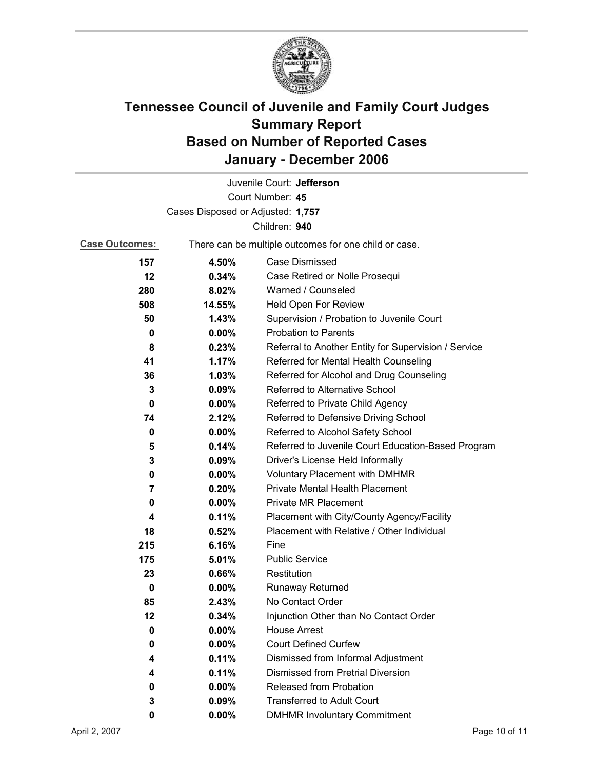

|                       |                                                       | Juvenile Court: Jefferson                            |
|-----------------------|-------------------------------------------------------|------------------------------------------------------|
|                       |                                                       | Court Number: 45                                     |
|                       | Cases Disposed or Adjusted: 1,757                     |                                                      |
|                       |                                                       | Children: 940                                        |
| <b>Case Outcomes:</b> | There can be multiple outcomes for one child or case. |                                                      |
| 157                   | 4.50%                                                 | <b>Case Dismissed</b>                                |
| 12                    | 0.34%                                                 | Case Retired or Nolle Prosequi                       |
| 280                   | 8.02%                                                 | Warned / Counseled                                   |
| 508                   | 14.55%                                                | Held Open For Review                                 |
| 50                    | 1.43%                                                 | Supervision / Probation to Juvenile Court            |
| 0                     | $0.00\%$                                              | <b>Probation to Parents</b>                          |
| 8                     | 0.23%                                                 | Referral to Another Entity for Supervision / Service |
| 41                    | 1.17%                                                 | Referred for Mental Health Counseling                |
| 36                    | 1.03%                                                 | Referred for Alcohol and Drug Counseling             |
| 3                     | 0.09%                                                 | Referred to Alternative School                       |
| 0                     | $0.00\%$                                              | Referred to Private Child Agency                     |
| 74                    | 2.12%                                                 | Referred to Defensive Driving School                 |
| 0                     | $0.00\%$                                              | Referred to Alcohol Safety School                    |
| 5                     | 0.14%                                                 | Referred to Juvenile Court Education-Based Program   |
| 3                     | 0.09%                                                 | Driver's License Held Informally                     |
| 0                     | $0.00\%$                                              | <b>Voluntary Placement with DMHMR</b>                |
| 7                     | 0.20%                                                 | Private Mental Health Placement                      |
| 0                     | $0.00\%$                                              | <b>Private MR Placement</b>                          |
| 4                     | 0.11%                                                 | Placement with City/County Agency/Facility           |
| 18                    | 0.52%                                                 | Placement with Relative / Other Individual           |
| 215                   | 6.16%                                                 | Fine                                                 |
| 175                   | 5.01%                                                 | <b>Public Service</b>                                |
| 23                    | 0.66%                                                 | Restitution                                          |
| 0                     | $0.00\%$                                              | <b>Runaway Returned</b>                              |
| 85                    | 2.43%                                                 | No Contact Order                                     |
| 12                    | 0.34%                                                 | Injunction Other than No Contact Order               |
| 0                     | 0.00%                                                 | <b>House Arrest</b>                                  |
| 0                     | $0.00\%$                                              | <b>Court Defined Curfew</b>                          |
| 4                     | 0.11%                                                 | Dismissed from Informal Adjustment                   |
| 4                     | 0.11%                                                 | <b>Dismissed from Pretrial Diversion</b>             |
| 0                     | 0.00%                                                 | Released from Probation                              |
| 3                     | 0.09%                                                 | <b>Transferred to Adult Court</b>                    |
| 0                     | $0.00\%$                                              | <b>DMHMR Involuntary Commitment</b>                  |